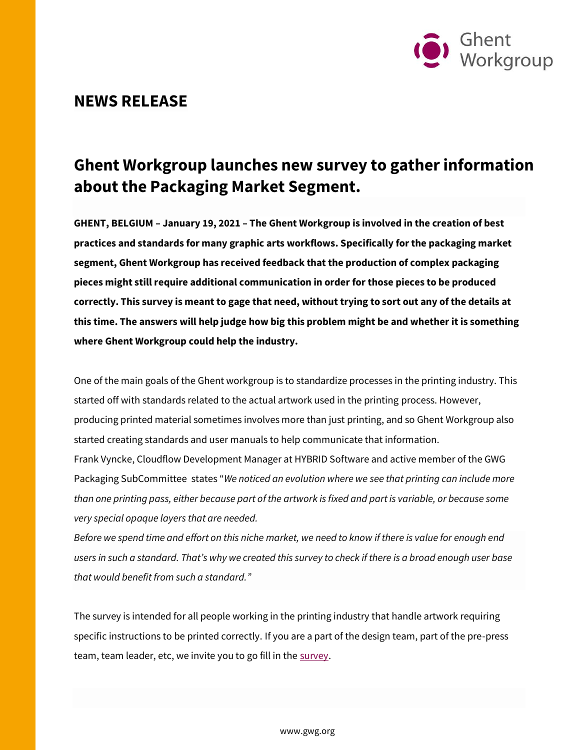

## **NEWS RELEASE**

## **Ghent Workgroup launches new survey to gather information about the Packaging Market Segment.**

**GHENT, BELGIUM – January 19, 2021 – The Ghent Workgroup is involved in the creation of best practices and standards for many graphic arts workflows. Specifically for the packaging market segment, Ghent Workgroup has received feedback that the production of complex packaging pieces might still require additional communication in order for those pieces to be produced correctly. This survey is meant to gage that need, without trying to sort out any of the details at this time. The answers will help judge how big this problem might be and whether it is something where Ghent Workgroup could help the industry.**

One of the main goals of the Ghent workgroup is to standardize processes in the printing industry. This started off with standards related to the actual artwork used in the printing process. However, producing printed material sometimes involves more than just printing, and so Ghent Workgroup also started creating standards and user manuals to help communicate that information. Frank Vyncke, Cloudflow Development Manager at HYBRID Software and active member of the GWG

Packaging SubCommittee states "*We noticed an evolution where we see that printing can include more than one printing pass, either because part of the artwork is fixed and part is variable, or because some very special opaque layers that are needed.*

*Before we spend time and effort on this niche market, we need to know if there is value for enough end users in such a standard. That's why we created this survey to check if there is a broad enough user base that would benefit from such a standard."*

The survey is intended for all people working in the printing industry that handle artwork requiring specific instructions to be printed correctly. If you are a part of the design team, part of the pre-press team, team leader, etc, we invite you to go fill in th[e survey.](https://surveyhero.com/c/68af97b2)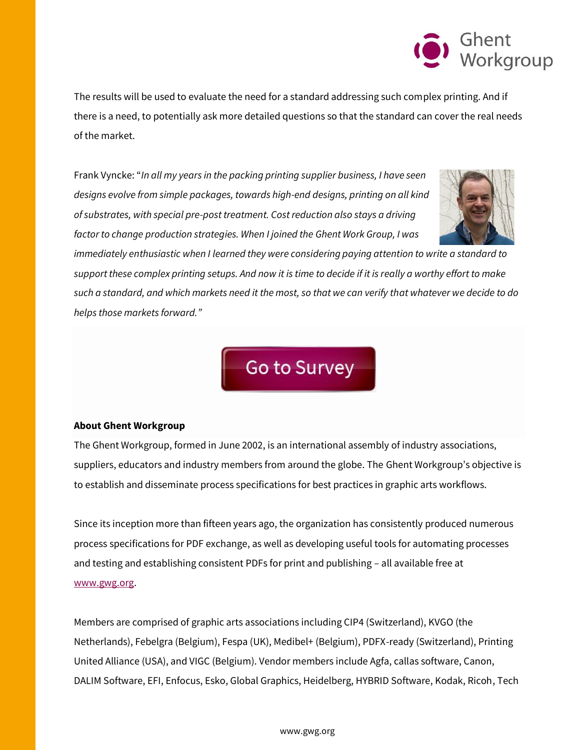

The results will be used to evaluate the need for a standard addressing such complex printing. And if there is a need, to potentially ask more detailed questions so that the standard can cover the real needs of the market.

Frank Vyncke: "*In all my years in the packing printing supplier business, I have seen designs evolve from simple packages, towards high-end designs, printing on all kind of substrates, with special pre-post treatment. Cost reduction also stays a driving factor to change production strategies. When I joined the Ghent Work Group, I was* 



*immediately enthusiastic when I learned they were considering paying attention to write a standard to support these complex printing setups. And now it is time to decide if it is really a worthy effort to make such a standard, and which markets need it the most, so that we can verify that whatever we decide to do helps those markets forward."*



## **About Ghent Workgroup**

The Ghent Workgroup, formed in June 2002, is an international assembly of industry associations, suppliers, educators and industry members from around the globe. The Ghent Workgroup's objective is to establish and disseminate process specifications for best practices in graphic arts workflows.

Since its inception more than fifteen years ago, the organization has consistently produced numerous process specifications for PDF exchange, as well as developing useful tools for automating processes and testing and establishing consistent PDFs for print and publishing – all available free at [www.gwg.org.](http://www.gwg.org/)

Members are comprised of graphic arts associations including CIP4 (Switzerland), KVGO (the Netherlands), Febelgra (Belgium), Fespa (UK), Medibel+ (Belgium), PDFX-ready (Switzerland), Printing United Alliance (USA), and VIGC (Belgium). Vendor members include Agfa, callas software, Canon, DALIM Software, EFI, Enfocus, Esko, Global Graphics, Heidelberg, HYBRID Software, Kodak, Ricoh, Tech